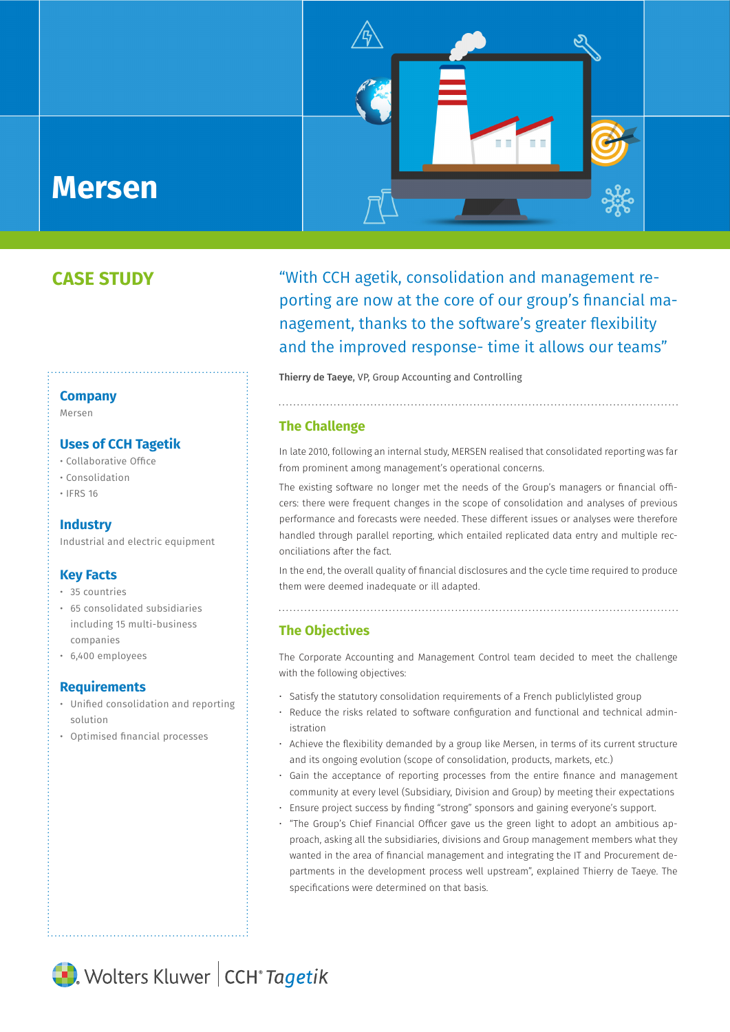# **Mersen**

## **CASE STUDY**

### **Company**

Mersen

#### **Uses of CCH Tagetik**

- Collaborative Office
- Consolidation
- IFRS 16

#### **Industry**

Industrial and electric equipment

#### **Key Facts**

- 35 countries
- 65 consolidated subsidiaries including 15 multi-business companies
- 6,400 employees

#### **Requirements**

- Unified consolidation and reporting solution
- Optimised financial processes

"With CCH agetik, consolidation and management reporting are now at the core of our group's financial management, thanks to the software's greater flexibility and the improved response- time it allows our teams"

n e

T. T

Thierry de Taeye, VP, Group Accounting and Controlling

#### **The Challenge**

In late 2010, following an internal study, MERSEN realised that consolidated reporting was far from prominent among management's operational concerns.

The existing software no longer met the needs of the Group's managers or financial officers: there were frequent changes in the scope of consolidation and analyses of previous performance and forecasts were needed. These different issues or analyses were therefore handled through parallel reporting, which entailed replicated data entry and multiple reconciliations after the fact.

In the end, the overall quality of financial disclosures and the cycle time required to produce them were deemed inadequate or ill adapted.

#### **The Objectives**

The Corporate Accounting and Management Control team decided to meet the challenge with the following objectives:

• Satisfy the statutory consolidation requirements of a French publiclylisted group

- Reduce the risks related to software configuration and functional and technical administration
- Achieve the flexibility demanded by a group like Mersen, in terms of its current structure and its ongoing evolution (scope of consolidation, products, markets, etc.)
- Gain the acceptance of reporting processes from the entire finance and management community at every level (Subsidiary, Division and Group) by meeting their expectations
- Ensure project success by finding "strong" sponsors and gaining everyone's support.
- "The Group's Chief Financial Officer gave us the green light to adopt an ambitious approach, asking all the subsidiaries, divisions and Group management members what they wanted in the area of financial management and integrating the IT and Procurement departments in the development process well upstream", explained Thierry de Taeye. The specifications were determined on that basis.